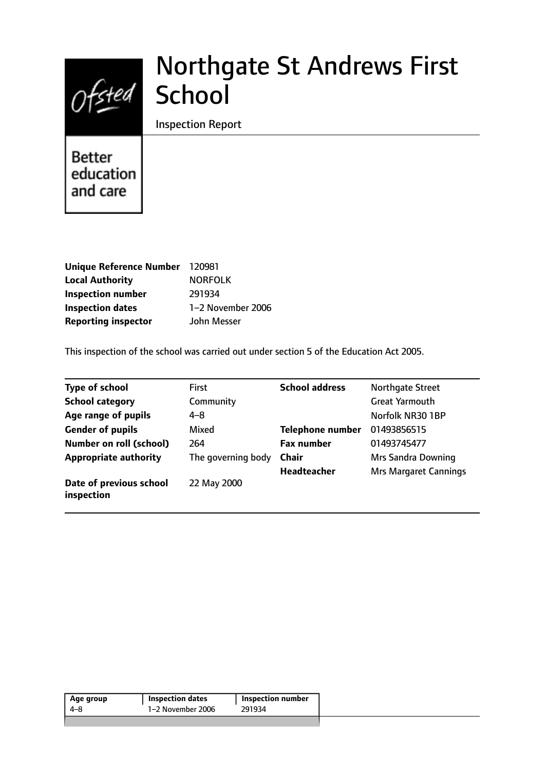

# Northgate St Andrews First **School**

Inspection Report

**Better** education and care

| <b>Unique Reference Number</b> | 120981            |
|--------------------------------|-------------------|
| <b>Local Authority</b>         | <b>NORFOLK</b>    |
| <b>Inspection number</b>       | 291934            |
| <b>Inspection dates</b>        | 1-2 November 2006 |
| <b>Reporting inspector</b>     | John Messer       |

This inspection of the school was carried out under section 5 of the Education Act 2005.

| <b>Type of school</b>                 | <b>First</b>       | <b>School address</b>   | <b>Northgate Street</b>      |
|---------------------------------------|--------------------|-------------------------|------------------------------|
| <b>School category</b>                | Community          |                         | <b>Great Yarmouth</b>        |
| Age range of pupils                   | $4 - 8$            |                         | Norfolk NR30 1BP             |
| <b>Gender of pupils</b>               | Mixed              | <b>Telephone number</b> | 01493856515                  |
| <b>Number on roll (school)</b>        | 264                | <b>Fax number</b>       | 01493745477                  |
| <b>Appropriate authority</b>          | The governing body | <b>Chair</b>            | <b>Mrs Sandra Downing</b>    |
|                                       |                    | <b>Headteacher</b>      | <b>Mrs Margaret Cannings</b> |
| Date of previous school<br>inspection | 22 May 2000        |                         |                              |

| Age group | <b>Inspection dates</b> | Inspection number |
|-----------|-------------------------|-------------------|
| 4–8       | 1–2 November 2006       | 291934            |
|           |                         |                   |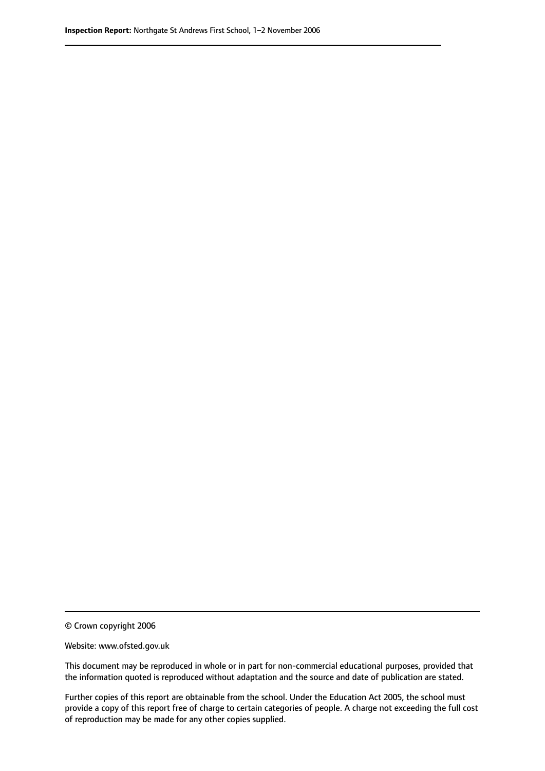© Crown copyright 2006

Website: www.ofsted.gov.uk

This document may be reproduced in whole or in part for non-commercial educational purposes, provided that the information quoted is reproduced without adaptation and the source and date of publication are stated.

Further copies of this report are obtainable from the school. Under the Education Act 2005, the school must provide a copy of this report free of charge to certain categories of people. A charge not exceeding the full cost of reproduction may be made for any other copies supplied.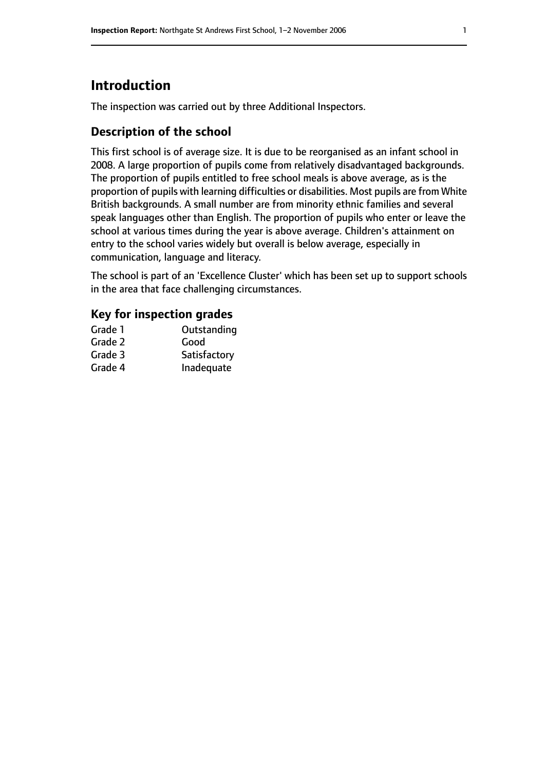# **Introduction**

The inspection was carried out by three Additional Inspectors.

### **Description of the school**

This first school is of average size. It is due to be reorganised as an infant school in 2008. A large proportion of pupils come from relatively disadvantaged backgrounds. The proportion of pupils entitled to free school meals is above average, as is the proportion of pupils with learning difficulties or disabilities. Most pupils are from White British backgrounds. A small number are from minority ethnic families and several speak languages other than English. The proportion of pupils who enter or leave the school at various times during the year is above average. Children's attainment on entry to the school varies widely but overall is below average, especially in communication, language and literacy.

The school is part of an 'Excellence Cluster' which has been set up to support schools in the area that face challenging circumstances.

### **Key for inspection grades**

| Grade 1 | Outstanding  |
|---------|--------------|
| Grade 2 | Good         |
| Grade 3 | Satisfactory |
| Grade 4 | Inadequate   |
|         |              |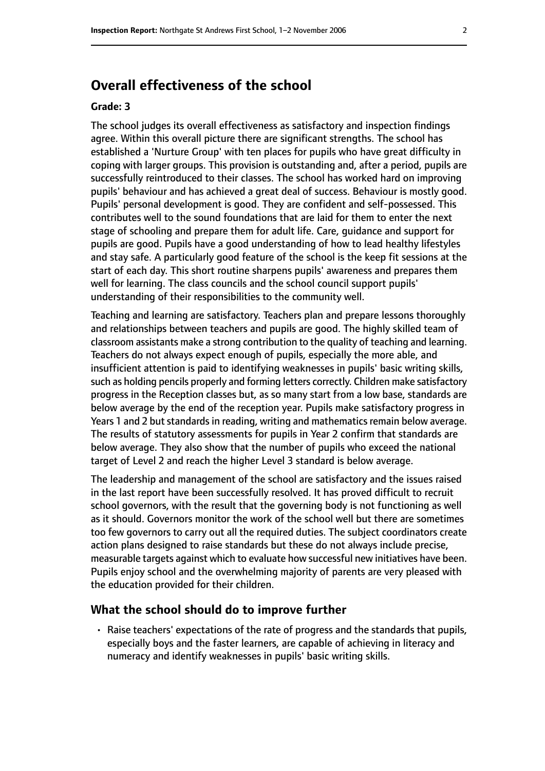# **Overall effectiveness of the school**

#### **Grade: 3**

The school judges its overall effectiveness as satisfactory and inspection findings agree. Within this overall picture there are significant strengths. The school has established a 'Nurture Group' with ten places for pupils who have great difficulty in coping with larger groups. This provision is outstanding and, after a period, pupils are successfully reintroduced to their classes. The school has worked hard on improving pupils' behaviour and has achieved a great deal of success. Behaviour is mostly good. Pupils' personal development is good. They are confident and self-possessed. This contributes well to the sound foundations that are laid for them to enter the next stage of schooling and prepare them for adult life. Care, guidance and support for pupils are good. Pupils have a good understanding of how to lead healthy lifestyles and stay safe. A particularly good feature of the school is the keep fit sessions at the start of each day. This short routine sharpens pupils' awareness and prepares them well for learning. The class councils and the school council support pupils' understanding of their responsibilities to the community well.

Teaching and learning are satisfactory. Teachers plan and prepare lessons thoroughly and relationships between teachers and pupils are good. The highly skilled team of classroom assistants make a strong contribution to the quality of teaching and learning. Teachers do not always expect enough of pupils, especially the more able, and insufficient attention is paid to identifying weaknesses in pupils' basic writing skills, such as holding pencils properly and forming letters correctly. Children make satisfactory progress in the Reception classes but, as so many start from a low base, standards are below average by the end of the reception year. Pupils make satisfactory progress in Years 1 and 2 but standards in reading, writing and mathematics remain below average. The results of statutory assessments for pupils in Year 2 confirm that standards are below average. They also show that the number of pupils who exceed the national target of Level 2 and reach the higher Level 3 standard is below average.

The leadership and management of the school are satisfactory and the issues raised in the last report have been successfully resolved. It has proved difficult to recruit school governors, with the result that the governing body is not functioning as well as it should. Governors monitor the work of the school well but there are sometimes too few governors to carry out all the required duties. The subject coordinators create action plans designed to raise standards but these do not always include precise, measurable targets against which to evaluate how successful new initiatives have been. Pupils enjoy school and the overwhelming majority of parents are very pleased with the education provided for their children.

#### **What the school should do to improve further**

• Raise teachers' expectations of the rate of progress and the standards that pupils, especially boys and the faster learners, are capable of achieving in literacy and numeracy and identify weaknesses in pupils' basic writing skills.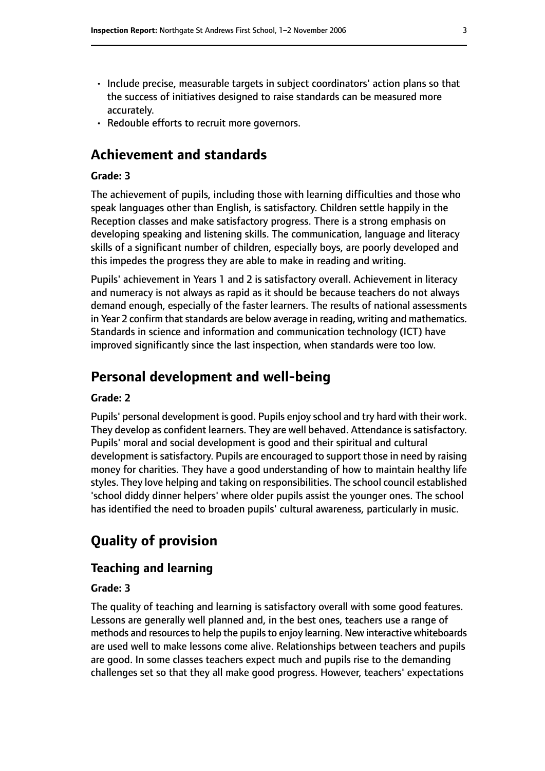- Include precise, measurable targets in subject coordinators' action plans so that the success of initiatives designed to raise standards can be measured more accurately.
- Redouble efforts to recruit more governors.

# **Achievement and standards**

#### **Grade: 3**

The achievement of pupils, including those with learning difficulties and those who speak languages other than English, is satisfactory. Children settle happily in the Reception classes and make satisfactory progress. There is a strong emphasis on developing speaking and listening skills. The communication, language and literacy skills of a significant number of children, especially boys, are poorly developed and this impedes the progress they are able to make in reading and writing.

Pupils' achievement in Years 1 and 2 is satisfactory overall. Achievement in literacy and numeracy is not always as rapid as it should be because teachers do not always demand enough, especially of the faster learners. The results of national assessments in Year 2 confirm that standards are below average in reading, writing and mathematics. Standards in science and information and communication technology (ICT) have improved significantly since the last inspection, when standards were too low.

# **Personal development and well-being**

#### **Grade: 2**

Pupils' personal development is good. Pupils enjoy school and try hard with their work. They develop as confident learners. They are well behaved. Attendance is satisfactory. Pupils' moral and social development is good and their spiritual and cultural development is satisfactory. Pupils are encouraged to support those in need by raising money for charities. They have a good understanding of how to maintain healthy life styles. They love helping and taking on responsibilities. The school council established 'school diddy dinner helpers' where older pupils assist the younger ones. The school has identified the need to broaden pupils' cultural awareness, particularly in music.

# **Quality of provision**

### **Teaching and learning**

#### **Grade: 3**

The quality of teaching and learning is satisfactory overall with some good features. Lessons are generally well planned and, in the best ones, teachers use a range of methods and resources to help the pupils to enjoy learning. New interactive whiteboards are used well to make lessons come alive. Relationships between teachers and pupils are good. In some classes teachers expect much and pupils rise to the demanding challenges set so that they all make good progress. However, teachers' expectations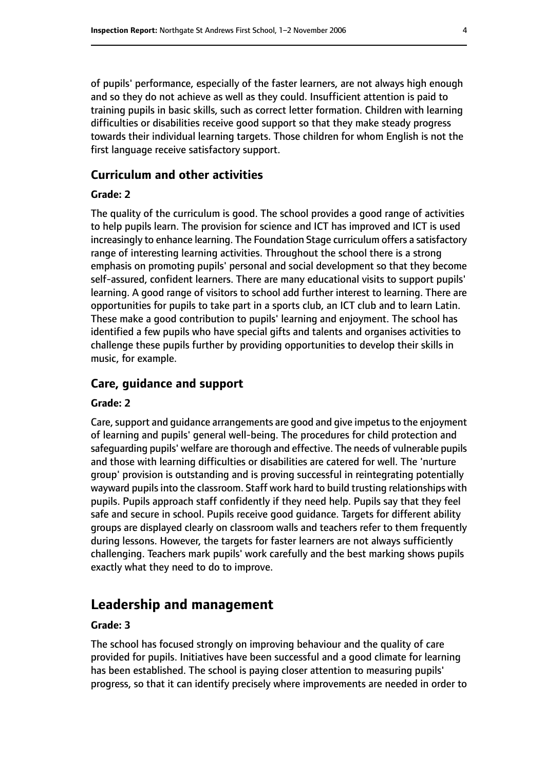of pupils' performance, especially of the faster learners, are not always high enough and so they do not achieve as well as they could. Insufficient attention is paid to training pupils in basic skills, such as correct letter formation. Children with learning difficulties or disabilities receive good support so that they make steady progress towards their individual learning targets. Those children for whom English is not the first language receive satisfactory support.

#### **Curriculum and other activities**

#### **Grade: 2**

The quality of the curriculum is good. The school provides a good range of activities to help pupils learn. The provision for science and ICT has improved and ICT is used increasingly to enhance learning. The Foundation Stage curriculum offers a satisfactory range of interesting learning activities. Throughout the school there is a strong emphasis on promoting pupils' personal and social development so that they become self-assured, confident learners. There are many educational visits to support pupils' learning. A good range of visitors to school add further interest to learning. There are opportunities for pupils to take part in a sports club, an ICT club and to learn Latin. These make a good contribution to pupils' learning and enjoyment. The school has identified a few pupils who have special gifts and talents and organises activities to challenge these pupils further by providing opportunities to develop their skills in music, for example.

#### **Care, guidance and support**

#### **Grade: 2**

Care, support and guidance arrangements are good and give impetus to the enjoyment of learning and pupils' general well-being. The procedures for child protection and safeguarding pupils' welfare are thorough and effective. The needs of vulnerable pupils and those with learning difficulties or disabilities are catered for well. The 'nurture group' provision is outstanding and is proving successful in reintegrating potentially wayward pupils into the classroom. Staff work hard to build trusting relationships with pupils. Pupils approach staff confidently if they need help. Pupils say that they feel safe and secure in school. Pupils receive good guidance. Targets for different ability groups are displayed clearly on classroom walls and teachers refer to them frequently during lessons. However, the targets for faster learners are not always sufficiently challenging. Teachers mark pupils' work carefully and the best marking shows pupils exactly what they need to do to improve.

### **Leadership and management**

#### **Grade: 3**

The school has focused strongly on improving behaviour and the quality of care provided for pupils. Initiatives have been successful and a good climate for learning has been established. The school is paying closer attention to measuring pupils' progress, so that it can identify precisely where improvements are needed in order to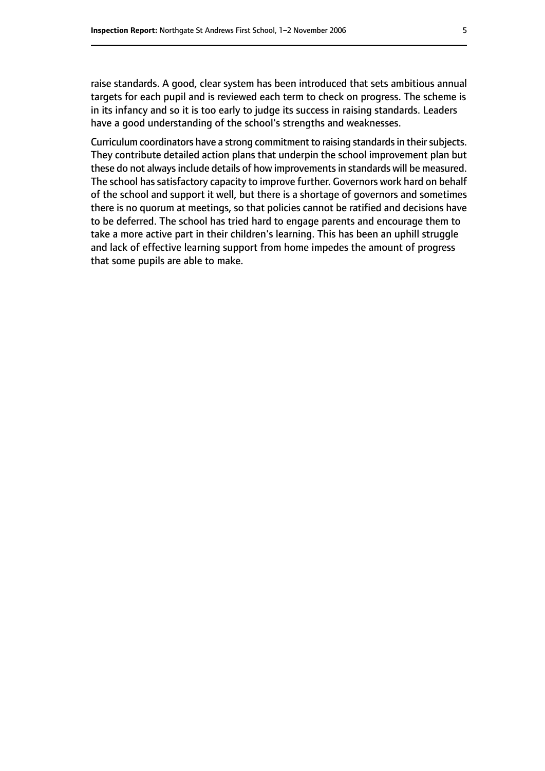raise standards. A good, clear system has been introduced that sets ambitious annual targets for each pupil and is reviewed each term to check on progress. The scheme is in its infancy and so it is too early to judge its success in raising standards. Leaders have a good understanding of the school's strengths and weaknesses.

Curriculum coordinators have a strong commitment to raising standards in their subjects. They contribute detailed action plans that underpin the school improvement plan but these do not always include details of how improvements in standards will be measured. The school has satisfactory capacity to improve further. Governors work hard on behalf of the school and support it well, but there is a shortage of governors and sometimes there is no quorum at meetings, so that policies cannot be ratified and decisions have to be deferred. The school has tried hard to engage parents and encourage them to take a more active part in their children's learning. This has been an uphill struggle and lack of effective learning support from home impedes the amount of progress that some pupils are able to make.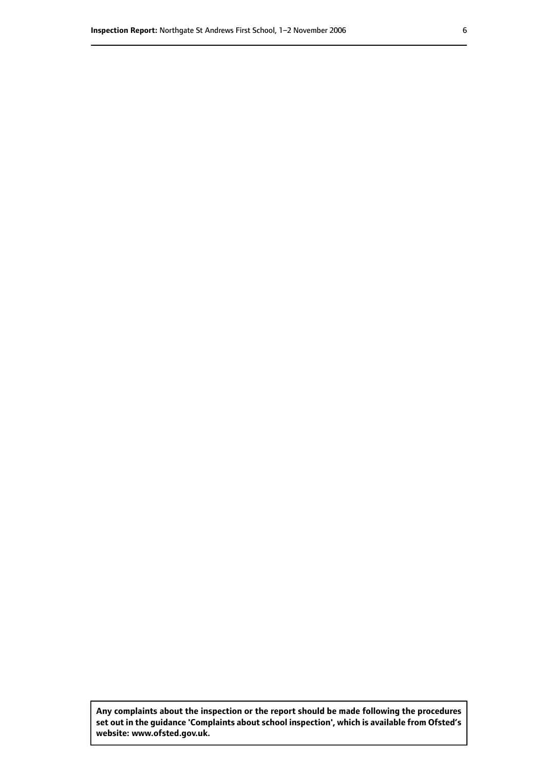**Any complaints about the inspection or the report should be made following the procedures set out inthe guidance 'Complaints about school inspection', whichis available from Ofsted's website: www.ofsted.gov.uk.**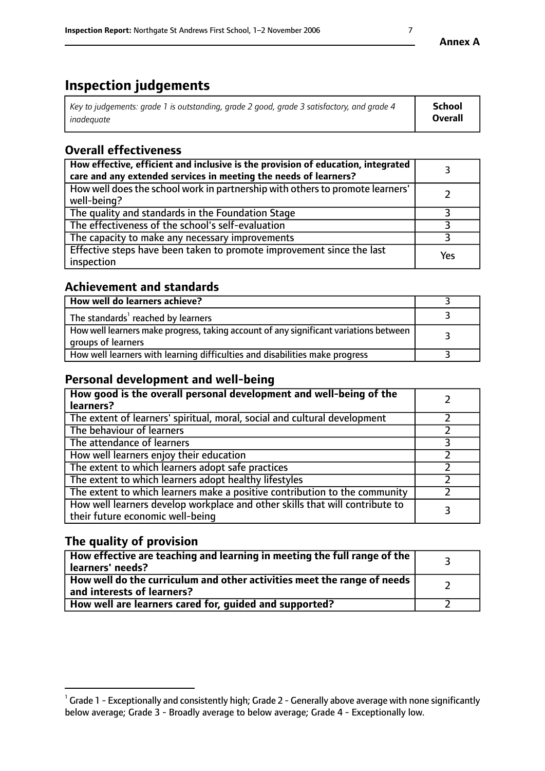# **Inspection judgements**

| Key to judgements: grade 1 is outstanding, grade 2 good, grade 3 satisfactory, and grade 4 | <b>School</b>  |
|--------------------------------------------------------------------------------------------|----------------|
| inadeauate                                                                                 | <b>Overall</b> |

# **Overall effectiveness**

| How effective, efficient and inclusive is the provision of education, integrated<br>care and any extended services in meeting the needs of learners? |     |
|------------------------------------------------------------------------------------------------------------------------------------------------------|-----|
| How well does the school work in partnership with others to promote learners'<br>well-being?                                                         |     |
| The quality and standards in the Foundation Stage                                                                                                    |     |
| The effectiveness of the school's self-evaluation                                                                                                    |     |
| The capacity to make any necessary improvements                                                                                                      |     |
| Effective steps have been taken to promote improvement since the last<br>inspection                                                                  | Yes |

# **Achievement and standards**

| How well do learners achieve?                                                                               |  |
|-------------------------------------------------------------------------------------------------------------|--|
| The standards <sup>1</sup> reached by learners                                                              |  |
| How well learners make progress, taking account of any significant variations between<br>groups of learners |  |
| How well learners with learning difficulties and disabilities make progress                                 |  |

### **Personal development and well-being**

| How good is the overall personal development and well-being of the<br>learners?                                  |  |
|------------------------------------------------------------------------------------------------------------------|--|
| The extent of learners' spiritual, moral, social and cultural development                                        |  |
| The behaviour of learners                                                                                        |  |
| The attendance of learners                                                                                       |  |
| How well learners enjoy their education                                                                          |  |
| The extent to which learners adopt safe practices                                                                |  |
| The extent to which learners adopt healthy lifestyles                                                            |  |
| The extent to which learners make a positive contribution to the community                                       |  |
| How well learners develop workplace and other skills that will contribute to<br>their future economic well-being |  |

# **The quality of provision**

| $\Box$ How effective are teaching and learning in meeting the full range of the $\Box$<br>  learners' needs?        |  |
|---------------------------------------------------------------------------------------------------------------------|--|
| $\mid$ How well do the curriculum and other activities meet the range of needs<br>$\mid$ and interests of learners? |  |
| How well are learners cared for, guided and supported?                                                              |  |

 $^1$  Grade 1 - Exceptionally and consistently high; Grade 2 - Generally above average with none significantly below average; Grade 3 - Broadly average to below average; Grade 4 - Exceptionally low.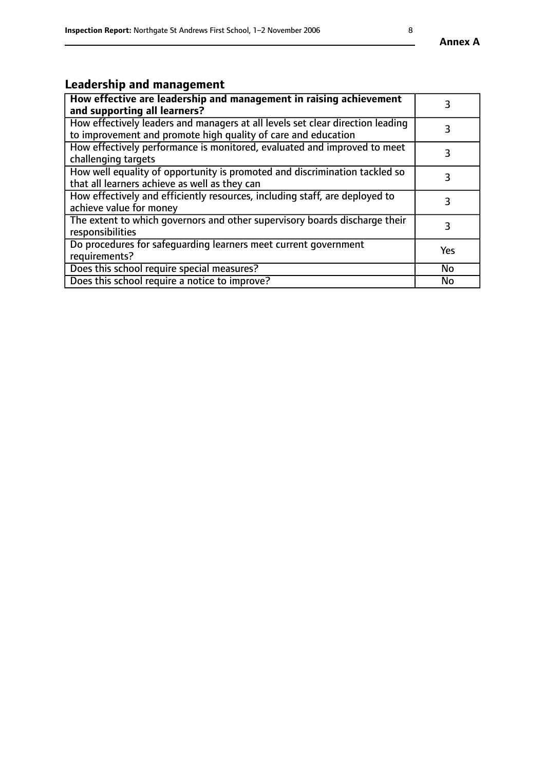# **Leadership and management**

| How effective are leadership and management in raising achievement<br>and supporting all learners?                                              |     |
|-------------------------------------------------------------------------------------------------------------------------------------------------|-----|
| How effectively leaders and managers at all levels set clear direction leading<br>to improvement and promote high quality of care and education |     |
| How effectively performance is monitored, evaluated and improved to meet<br>challenging targets                                                 | 3   |
| How well equality of opportunity is promoted and discrimination tackled so<br>that all learners achieve as well as they can                     |     |
| How effectively and efficiently resources, including staff, are deployed to<br>achieve value for money                                          | 3   |
| The extent to which governors and other supervisory boards discharge their<br>responsibilities                                                  |     |
| Do procedures for safequarding learners meet current government<br>requirements?                                                                | Yes |
| Does this school require special measures?                                                                                                      | No  |
| Does this school require a notice to improve?                                                                                                   | No  |